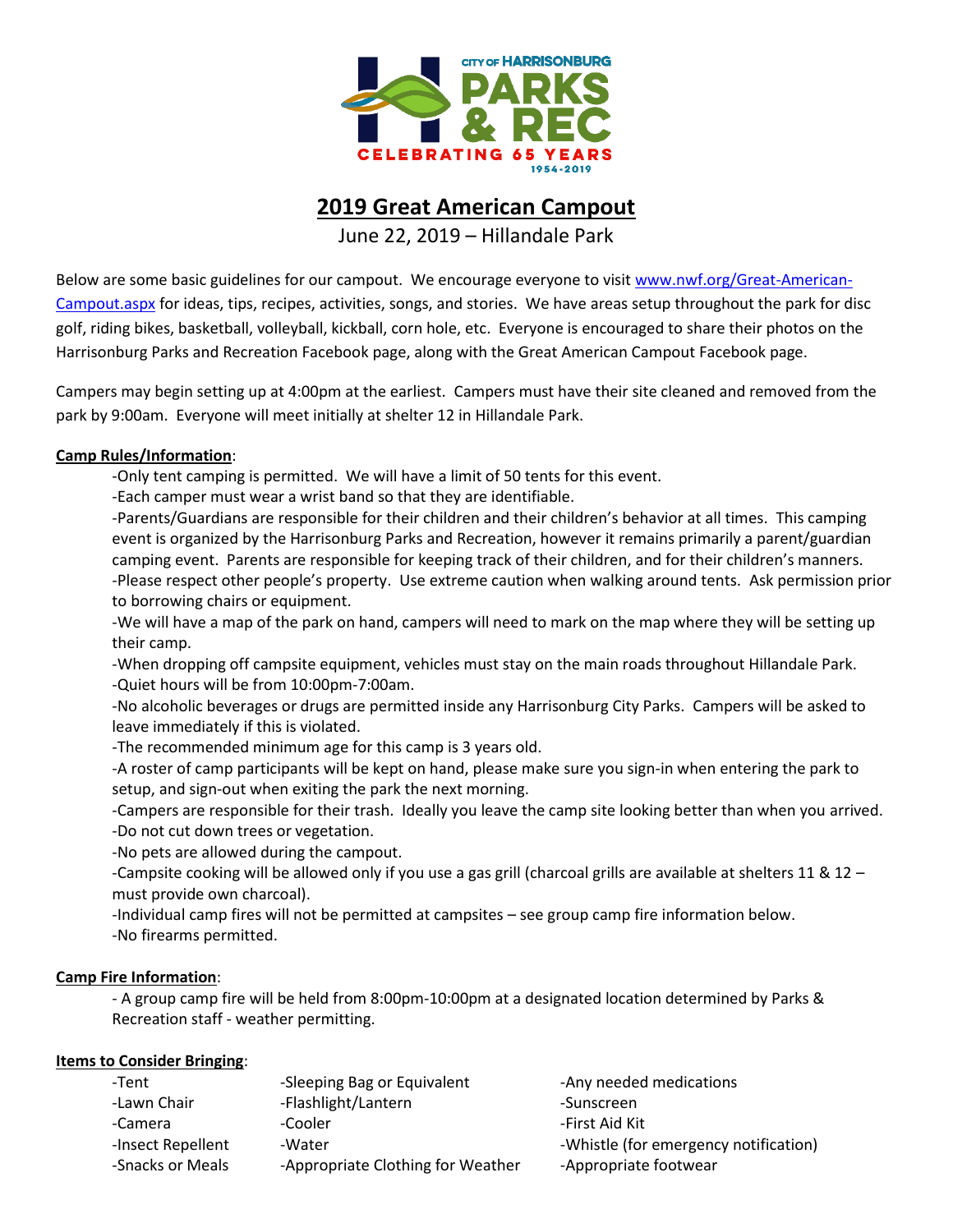

## **2019 Great American Campout**

June 22, 2019 – Hillandale Park

Below are some basic guidelines for our campout. We encourage everyone to visit [www.nwf.org/Great-American-](http://www.nwf.org/Great-American-Campout.aspx)[Campout.aspx](http://www.nwf.org/Great-American-Campout.aspx) for ideas, tips, recipes, activities, songs, and stories. We have areas setup throughout the park for disc golf, riding bikes, basketball, volleyball, kickball, corn hole, etc. Everyone is encouraged to share their photos on the Harrisonburg Parks and Recreation Facebook page, along with the Great American Campout Facebook page.

Campers may begin setting up at 4:00pm at the earliest. Campers must have their site cleaned and removed from the park by 9:00am. Everyone will meet initially at shelter 12 in Hillandale Park.

## **Camp Rules/Information**:

-Only tent camping is permitted. We will have a limit of 50 tents for this event.

-Each camper must wear a wrist band so that they are identifiable.

-Parents/Guardians are responsible for their children and their children's behavior at all times. This camping event is organized by the Harrisonburg Parks and Recreation, however it remains primarily a parent/guardian camping event. Parents are responsible for keeping track of their children, and for their children's manners. -Please respect other people's property. Use extreme caution when walking around tents. Ask permission prior to borrowing chairs or equipment.

-We will have a map of the park on hand, campers will need to mark on the map where they will be setting up their camp.

-When dropping off campsite equipment, vehicles must stay on the main roads throughout Hillandale Park. -Quiet hours will be from 10:00pm-7:00am.

-No alcoholic beverages or drugs are permitted inside any Harrisonburg City Parks. Campers will be asked to leave immediately if this is violated.

-The recommended minimum age for this camp is 3 years old.

-A roster of camp participants will be kept on hand, please make sure you sign-in when entering the park to setup, and sign-out when exiting the park the next morning.

-Campers are responsible for their trash. Ideally you leave the camp site looking better than when you arrived. -Do not cut down trees or vegetation.

-No pets are allowed during the campout.

-Campsite cooking will be allowed only if you use a gas grill (charcoal grills are available at shelters 11 & 12 – must provide own charcoal).

-Individual camp fires will not be permitted at campsites – see group camp fire information below. -No firearms permitted.

## **Camp Fire Information**:

- A group camp fire will be held from 8:00pm-10:00pm at a designated location determined by Parks & Recreation staff - weather permitting.

## **Items to Consider Bringing**:

| -Tent             | -Sleeping Bag or Equivalent       | -Any needed medications               |
|-------------------|-----------------------------------|---------------------------------------|
| -Lawn Chair       | -Flashlight/Lantern               | -Sunscreen                            |
| -Camera           | -Cooler                           | -First Aid Kit                        |
| -Insect Repellent | -Water                            | -Whistle (for emergency notification) |
| -Snacks or Meals  | -Appropriate Clothing for Weather | -Appropriate footwear                 |